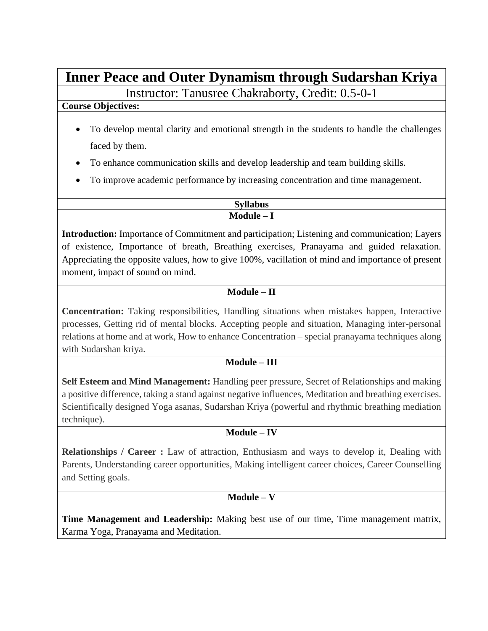# **Inner Peace and Outer Dynamism through Sudarshan Kriya**

Instructor: Tanusree Chakraborty, Credit: 0.5-0-1

#### **Course Objectives:**

- To develop mental clarity and emotional strength in the students to handle the challenges faced by them.
- To enhance communication skills and develop leadership and team building skills.
- To improve academic performance by increasing concentration and time management.

**Syllabus Module – I**

**Introduction:** Importance of Commitment and participation; Listening and communication; Layers of existence, Importance of breath, Breathing exercises, Pranayama and guided relaxation. Appreciating the opposite values, how to give 100%, vacillation of mind and importance of present moment, impact of sound on mind.

## **Module – II**

**Concentration:** Taking responsibilities, Handling situations when mistakes happen, Interactive processes, Getting rid of mental blocks. Accepting people and situation, Managing inter-personal relations at home and at work, How to enhance Concentration – special pranayama techniques along with Sudarshan kriya.

## **Module – III**

**Self Esteem and Mind Management:** Handling peer pressure, Secret of Relationships and making a positive difference, taking a stand against negative influences, Meditation and breathing exercises. Scientifically designed Yoga asanas, Sudarshan Kriya (powerful and rhythmic breathing mediation technique).

## **Module – IV**

**Relationships / Career :** Law of attraction, Enthusiasm and ways to develop it, Dealing with Parents, Understanding career opportunities, Making intelligent career choices, Career Counselling and Setting goals.

# **Module – V**

**Time Management and Leadership:** Making best use of our time, Time management matrix, Karma Yoga, Pranayama and Meditation.